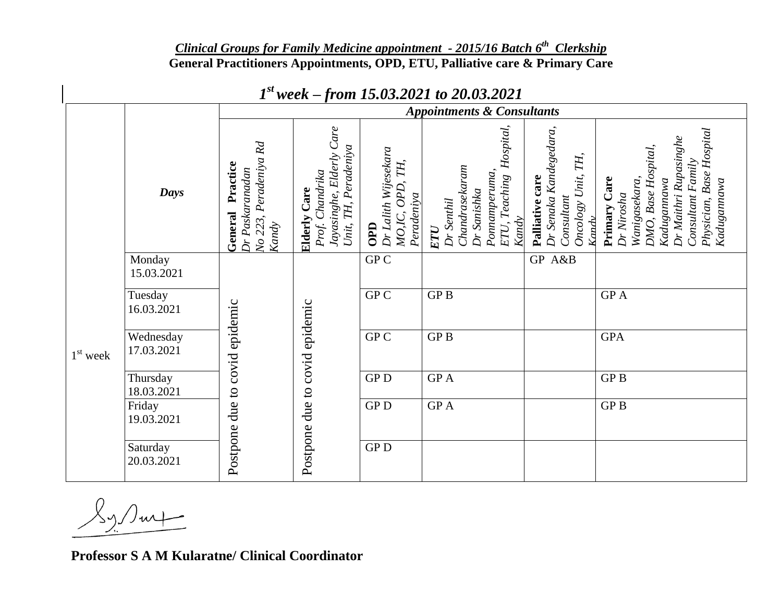## *Clinical Groups for Family Medicine appointment - 2015/16 Batch 6 th Clerkship* **General Practitioners Appointments, OPD, ETU, Palliative care & Primary Care**

|            |                         | <b>Appointments &amp; Consultants</b>                                       |                                                                                               |                                                                 |                                                                                                            |                                                                                        |                                                                                                                                                                                      |
|------------|-------------------------|-----------------------------------------------------------------------------|-----------------------------------------------------------------------------------------------|-----------------------------------------------------------------|------------------------------------------------------------------------------------------------------------|----------------------------------------------------------------------------------------|--------------------------------------------------------------------------------------------------------------------------------------------------------------------------------------|
|            | Days                    | Rd<br>No 223, Peradeniya<br>Practice<br>Dr Paskaranadan<br>General<br>Kandy | Jayasinghe, Elderly Care<br>Unit, TH, Peradeniya<br>Chandrika<br><b>Elderly Care</b><br>Prof. | Dr Lalith Wijesekara<br>TH,<br>MO,IC, OPD,<br>Peradeniya<br>OPD | Hospital,<br>Chandrasekaram<br>Ponnamperuma,<br>ETU, Teaching<br>Dr Sanishka<br>Dr Senthil<br>Kandy<br>ETU | Dr Senaka Kandegedara,<br>Oncology Unit, TH,<br>Palliative care<br>Consultant<br>Kandy | <b>Base Hospital</b><br>Dr Maithri Rupasinghe<br>DMO, Base Hospital,<br>Consultant Family<br>Primary Care<br>Wanigasekara,<br>Kadugannawa<br>Kadugannawa<br>Dr Nirosha<br>Physician, |
| $1st$ week | Monday<br>15.03.2021    | Postpone due to covid epidemic                                              | Postpone due to covid epidemic                                                                | GPC                                                             |                                                                                                            | GP A&B                                                                                 |                                                                                                                                                                                      |
|            | Tuesday<br>16.03.2021   |                                                                             |                                                                                               | GP C                                                            | <b>GPB</b>                                                                                                 |                                                                                        | <b>GPA</b>                                                                                                                                                                           |
|            | Wednesday<br>17.03.2021 |                                                                             |                                                                                               | GP C                                                            | <b>GPB</b>                                                                                                 |                                                                                        | <b>GPA</b>                                                                                                                                                                           |
|            | Thursday<br>18.03.2021  |                                                                             |                                                                                               | GP <sub>D</sub>                                                 | <b>GPA</b>                                                                                                 |                                                                                        | GP <sub>B</sub>                                                                                                                                                                      |
|            | Friday<br>19.03.2021    |                                                                             |                                                                                               | ${\rm GP}\, {\rm D}$                                            | GP A                                                                                                       |                                                                                        | GPB                                                                                                                                                                                  |
|            | Saturday<br>20.03.2021  |                                                                             |                                                                                               | ${\rm GP}\, {\rm D}$                                            |                                                                                                            |                                                                                        |                                                                                                                                                                                      |

## *1 st week – from 15.03.2021 to 20.03.2021*

 $\mathcal{K}_{\mathcal{Y}}$  surfine

**Professor S A M Kularatne/ Clinical Coordinator**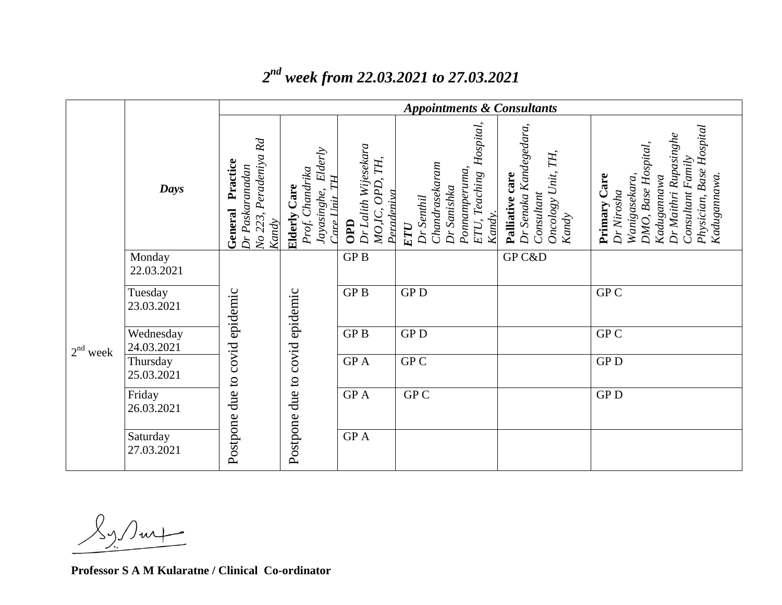|            |                         | <b>Appointments &amp; Consultants</b>                                          |                                                                                 |                                                                    |                                                                                                             |                                                                                           |                                                                                                                                                                                             |
|------------|-------------------------|--------------------------------------------------------------------------------|---------------------------------------------------------------------------------|--------------------------------------------------------------------|-------------------------------------------------------------------------------------------------------------|-------------------------------------------------------------------------------------------|---------------------------------------------------------------------------------------------------------------------------------------------------------------------------------------------|
|            | Days                    | Rd<br>Peradeniya<br>Practice<br>Dr Paskaranadan<br>General<br>No 223,<br>Kandy | Elderly<br>Prof. Chandrika<br>TН<br>Care<br>Jayasinghe,<br>Tare Unit<br>Elderly | Dr Lalith Wijesekara<br>TH,<br>OPD,<br>Peradeniva<br>MO,IC,<br>OPD | Hospital,<br>Chandrasekaram<br>Ponnamperuma,<br>ETU, Teaching<br>Dr Sanishka<br>Dr Senthil<br>Kandy.<br>ETU | Dr Senaka Kandegedara,<br>TH,<br>Oncology Unit,<br>Palliative care<br>Consultant<br>Kandy | <b>Base Hospital</b><br>Dr Maithri Rupasinghe<br>DMO, Base Hospital,<br>Family<br>Care<br>Wanigasekara,<br>Kadugannawa.<br>Kadugannawa<br>Dr Nirosha<br>Consultant<br>Physician,<br>Primary |
| $2nd$ week | Monday<br>22.03.2021    | due to covid epidemic<br>Postpone                                              | covid epidemic<br>due to<br>Postpone                                            | GP <sub>B</sub>                                                    |                                                                                                             | GP C&D                                                                                    |                                                                                                                                                                                             |
|            | Tuesday<br>23.03.2021   |                                                                                |                                                                                 | GP <sub>B</sub>                                                    | <b>GPD</b>                                                                                                  |                                                                                           | GP C                                                                                                                                                                                        |
|            | Wednesday<br>24.03.2021 |                                                                                |                                                                                 | GP <sub>B</sub>                                                    | <b>GPD</b>                                                                                                  |                                                                                           | GP C                                                                                                                                                                                        |
|            | Thursday<br>25.03.2021  |                                                                                |                                                                                 | GP A                                                               | ${\rm GP\,}{\rm C}$                                                                                         |                                                                                           | ${\rm GP}\, {\rm D}$                                                                                                                                                                        |
|            | Friday<br>26.03.2021    |                                                                                |                                                                                 | GP A                                                               | GP C                                                                                                        |                                                                                           | <b>GPD</b>                                                                                                                                                                                  |
|            | Saturday<br>27.03.2021  |                                                                                |                                                                                 | GP A                                                               |                                                                                                             |                                                                                           |                                                                                                                                                                                             |

## *2 nd week from 22.03.2021 to 27.03.2021*

**Professor S A M Kularatne / Clinical Co-ordinator**

 $\chi_{\gamma}$  sup